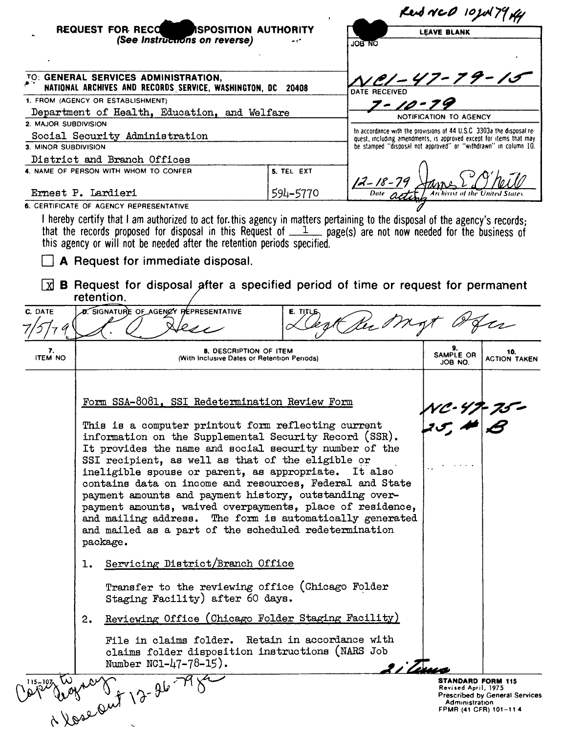|                                                                                                        |                                                                                                                                                                                                                                                                                                                                                                                                                   |          | Red NCD 10JUL79 KH                                                                                                                          |                                                 |                                       |
|--------------------------------------------------------------------------------------------------------|-------------------------------------------------------------------------------------------------------------------------------------------------------------------------------------------------------------------------------------------------------------------------------------------------------------------------------------------------------------------------------------------------------------------|----------|---------------------------------------------------------------------------------------------------------------------------------------------|-------------------------------------------------|---------------------------------------|
|                                                                                                        | REQUEST FOR RECONNISPOSITION AUTHORITY<br>(See Instructions on reverse)                                                                                                                                                                                                                                                                                                                                           | ON BOL   | <b>LEAVE BLANK</b>                                                                                                                          |                                                 |                                       |
|                                                                                                        |                                                                                                                                                                                                                                                                                                                                                                                                                   |          |                                                                                                                                             |                                                 |                                       |
| TO: GENERAL SERVICES ADMINISTRATION,<br>NATIONAL ARCHIVES AND RECORDS SERVICE, WASHINGTON, DC<br>20408 |                                                                                                                                                                                                                                                                                                                                                                                                                   |          | DATE RECEIVED                                                                                                                               | <u>1CI – 47 – 79 – 15</u>                       |                                       |
| 1. FROM (AGENCY OR ESTABLISHMENT)                                                                      |                                                                                                                                                                                                                                                                                                                                                                                                                   |          | $7 - 10 -$                                                                                                                                  |                                                 |                                       |
| Department of Health, Education, and Welfare                                                           |                                                                                                                                                                                                                                                                                                                                                                                                                   |          | NOTIFICATION TO AGENCY                                                                                                                      |                                                 |                                       |
| 2. MAJOR SUBDIVISION<br>Social Security Administration                                                 |                                                                                                                                                                                                                                                                                                                                                                                                                   |          | In accordance with the provisions of 44 U.S.C. 3303a the disposal re-<br>quest, including amendments, is approved except for items that may |                                                 |                                       |
| 3. MINOR SUBDIVISION                                                                                   |                                                                                                                                                                                                                                                                                                                                                                                                                   |          | be stamped "disposal not approved" or "withdrawn" in column 10.                                                                             |                                                 |                                       |
|                                                                                                        | District and Branch Offices                                                                                                                                                                                                                                                                                                                                                                                       |          |                                                                                                                                             |                                                 |                                       |
| 4. NAME OF PERSON WITH WHOM TO CONFER<br>5. TEL EXT                                                    |                                                                                                                                                                                                                                                                                                                                                                                                                   |          |                                                                                                                                             |                                                 |                                       |
| 594-5770<br>Ernest P. Lardieri                                                                         |                                                                                                                                                                                                                                                                                                                                                                                                                   |          | $12 - 18 - 79$                                                                                                                              |                                                 |                                       |
|                                                                                                        | 6. CERTIFICATE OF AGENCY REPRESENTATIVE                                                                                                                                                                                                                                                                                                                                                                           |          |                                                                                                                                             |                                                 |                                       |
|                                                                                                        | I hereby certify that I am authorized to act for this agency in matters pertaining to the disposal of the agency's records;<br>that the records proposed for disposal in this Request of $1$ page(s) are not now needed for the business of                                                                                                                                                                       |          |                                                                                                                                             |                                                 |                                       |
|                                                                                                        | this agency or will not be needed after the retention periods specified.                                                                                                                                                                                                                                                                                                                                          |          |                                                                                                                                             |                                                 |                                       |
|                                                                                                        | A Request for immediate disposal.                                                                                                                                                                                                                                                                                                                                                                                 |          |                                                                                                                                             |                                                 |                                       |
|                                                                                                        | <b>B</b> Request for disposal after a specified period of time or request for permanent<br>retention.                                                                                                                                                                                                                                                                                                             |          |                                                                                                                                             |                                                 |                                       |
| C. DATE                                                                                                | <b>D.</b> SIGNATURE OF AGENCY PEPRESENTATIVE                                                                                                                                                                                                                                                                                                                                                                      | E. TITLE |                                                                                                                                             |                                                 |                                       |
|                                                                                                        |                                                                                                                                                                                                                                                                                                                                                                                                                   |          |                                                                                                                                             |                                                 |                                       |
| 7.<br><b>ITEM NO</b>                                                                                   | 8. DESCRIPTION OF ITEM<br>(With Inclusive Dates or Retention Periods)                                                                                                                                                                                                                                                                                                                                             |          |                                                                                                                                             | 9.<br>SAMPLE OR<br>JOB NO.                      | 10.<br><b>ACTION TAKEN</b>            |
|                                                                                                        |                                                                                                                                                                                                                                                                                                                                                                                                                   |          |                                                                                                                                             |                                                 |                                       |
|                                                                                                        | Form SSA-8081, SSI Redetermination Review Form<br>This is a computer printout form reflecting current<br>information on the Supplemental Security Record (SSR).                                                                                                                                                                                                                                                   |          |                                                                                                                                             |                                                 |                                       |
|                                                                                                        |                                                                                                                                                                                                                                                                                                                                                                                                                   |          |                                                                                                                                             |                                                 |                                       |
|                                                                                                        |                                                                                                                                                                                                                                                                                                                                                                                                                   |          |                                                                                                                                             |                                                 |                                       |
|                                                                                                        | It provides the name and social security number of the                                                                                                                                                                                                                                                                                                                                                            |          |                                                                                                                                             |                                                 |                                       |
|                                                                                                        | SSI recipient, as well as that of the eligible or<br>ineligible spouse or parent, as appropriate. It also<br>contains data on income and resources, Federal and State<br>payment amounts and payment history, outstanding over-<br>payment amounts, waived overpayments, place of residence,<br>and mailing address. The form is automatically generated<br>and mailed as a part of the scheduled redetermination |          |                                                                                                                                             |                                                 |                                       |
|                                                                                                        |                                                                                                                                                                                                                                                                                                                                                                                                                   |          |                                                                                                                                             |                                                 |                                       |
|                                                                                                        |                                                                                                                                                                                                                                                                                                                                                                                                                   |          |                                                                                                                                             |                                                 |                                       |
|                                                                                                        |                                                                                                                                                                                                                                                                                                                                                                                                                   |          |                                                                                                                                             |                                                 |                                       |
|                                                                                                        |                                                                                                                                                                                                                                                                                                                                                                                                                   |          |                                                                                                                                             |                                                 |                                       |
| package.                                                                                               |                                                                                                                                                                                                                                                                                                                                                                                                                   |          |                                                                                                                                             |                                                 |                                       |
|                                                                                                        | Servicing District/Branch Office<br>ı.                                                                                                                                                                                                                                                                                                                                                                            |          |                                                                                                                                             |                                                 |                                       |
|                                                                                                        | Transfer to the reviewing office (Chicago Folder<br>Staging Facility) after 60 days.                                                                                                                                                                                                                                                                                                                              |          |                                                                                                                                             |                                                 |                                       |
|                                                                                                        | Reviewing Office (Chicago Folder Staging Facility)<br>2.                                                                                                                                                                                                                                                                                                                                                          |          |                                                                                                                                             |                                                 |                                       |
|                                                                                                        | File in claims folder. Retain in accordance with<br>claims folder disposition instructions (NARS Job<br>Number $NCl-47-78-15$ ).                                                                                                                                                                                                                                                                                  |          | 2 i Zens                                                                                                                                    |                                                 |                                       |
| 1 15–107                                                                                               | Wasebut 12-26-79                                                                                                                                                                                                                                                                                                                                                                                                  |          |                                                                                                                                             | <b>STANDARD FORM 115</b><br>Revised April, 1975 | <b>Prescribed by General Services</b> |
|                                                                                                        |                                                                                                                                                                                                                                                                                                                                                                                                                   |          |                                                                                                                                             | Administration                                  | FPMR (41 CFR) 101-11 4                |
|                                                                                                        |                                                                                                                                                                                                                                                                                                                                                                                                                   |          |                                                                                                                                             |                                                 |                                       |

 $\hat{\mathbf{u}}$